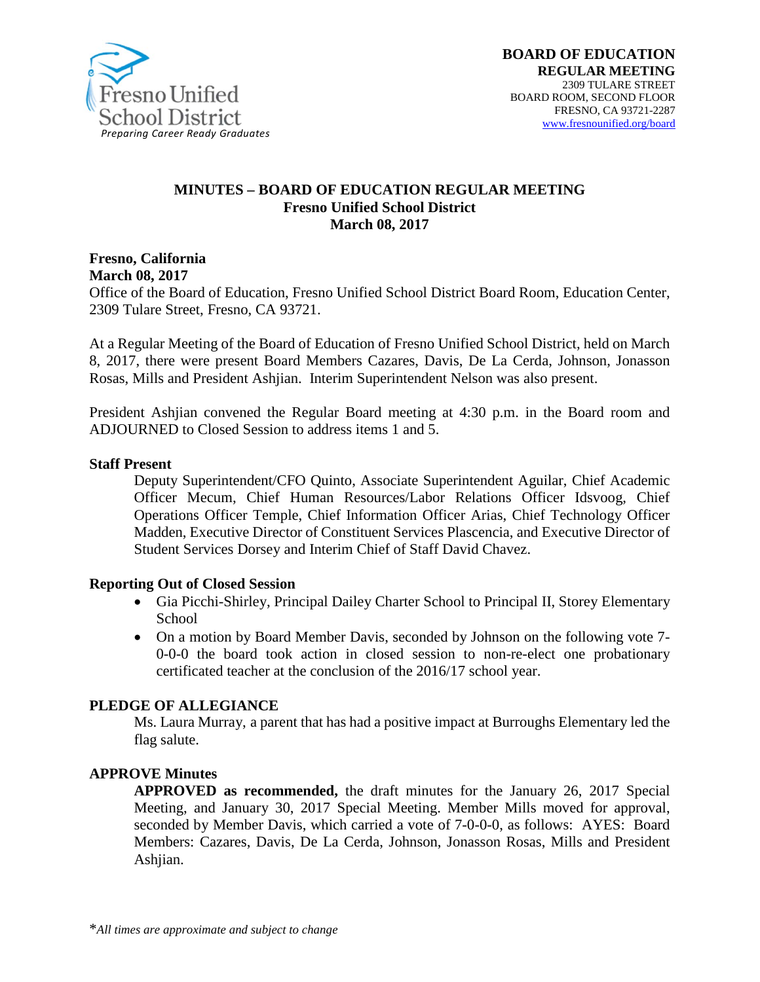

#### **MINUTES – BOARD OF EDUCATION REGULAR MEETING Fresno Unified School District March 08, 2017**

**Fresno, California March 08, 2017** 

Office of the Board of Education, Fresno Unified School District Board Room, Education Center, 2309 Tulare Street, Fresno, CA 93721.

At a Regular Meeting of the Board of Education of Fresno Unified School District, held on March 8, 2017, there were present Board Members Cazares, Davis, De La Cerda, Johnson, Jonasson Rosas, Mills and President Ashjian. Interim Superintendent Nelson was also present.

President Ashjian convened the Regular Board meeting at 4:30 p.m. in the Board room and ADJOURNED to Closed Session to address items 1 and 5.

#### **Staff Present**

Deputy Superintendent/CFO Quinto, Associate Superintendent Aguilar, Chief Academic Officer Mecum, Chief Human Resources/Labor Relations Officer Idsvoog, Chief Operations Officer Temple, Chief Information Officer Arias, Chief Technology Officer Madden, Executive Director of Constituent Services Plascencia, and Executive Director of Student Services Dorsey and Interim Chief of Staff David Chavez.

#### **Reporting Out of Closed Session**

- Gia Picchi-Shirley, Principal Dailey Charter School to Principal II, Storey Elementary School
- On a motion by Board Member Davis, seconded by Johnson on the following vote 7-0-0-0 the board took action in closed session to non-re-elect one probationary certificated teacher at the conclusion of the 2016/17 school year.

#### **PLEDGE OF ALLEGIANCE**

Ms. Laura Murray, a parent that has had a positive impact at Burroughs Elementary led the flag salute.

#### **APPROVE Minutes**

**APPROVED as recommended,** the draft minutes for the January 26, 2017 Special Meeting, and January 30, 2017 Special Meeting. Member Mills moved for approval, seconded by Member Davis, which carried a vote of 7-0-0-0, as follows: AYES: Board Members: Cazares, Davis, De La Cerda, Johnson, Jonasson Rosas, Mills and President Ashjian.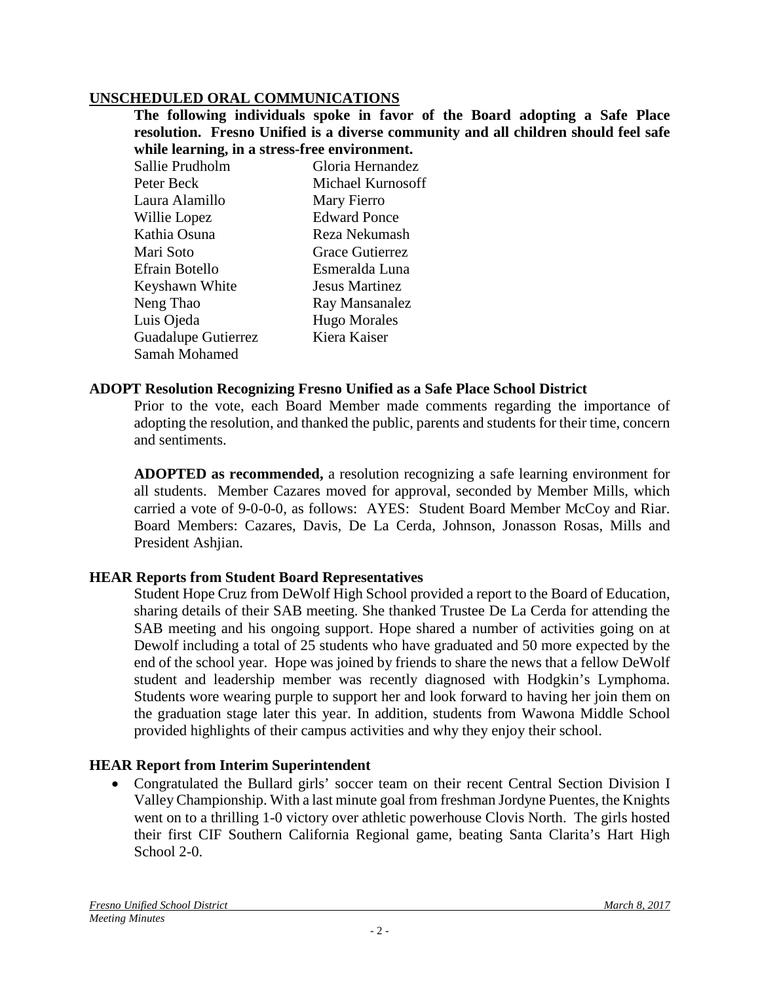#### **UNSCHEDULED ORAL COMMUNICATIONS**

**The following individuals spoke in favor of the Board adopting a Safe Place resolution. Fresno Unified is a diverse community and all children should feel safe while learning, in a stress-free environment.** 

Sallie Prudholm Gloria Hernandez Peter Beck Michael Kurnosoff Laura Alamillo Mary Fierro Willie Lopez Edward Ponce Kathia Osuna **Reza Nekumash** Mari Soto Grace Gutierrez Efrain Botello Esmeralda Luna Keyshawn White Jesus Martinez Neng Thao Ray Mansanalez Luis Ojeda Hugo Morales Guadalupe Gutierrez Kiera Kaiser Samah Mohamed

#### **ADOPT Resolution Recognizing Fresno Unified as a Safe Place School District**

Prior to the vote, each Board Member made comments regarding the importance of adopting the resolution, and thanked the public, parents and students for their time, concern and sentiments.

**ADOPTED as recommended,** a resolution recognizing a safe learning environment for all students. Member Cazares moved for approval, seconded by Member Mills, which carried a vote of 9-0-0-0, as follows: AYES: Student Board Member McCoy and Riar. Board Members: Cazares, Davis, De La Cerda, Johnson, Jonasson Rosas, Mills and President Ashjian.

#### **HEAR Reports from Student Board Representatives**

Student Hope Cruz from DeWolf High School provided a report to the Board of Education, sharing details of their SAB meeting. She thanked Trustee De La Cerda for attending the SAB meeting and his ongoing support. Hope shared a number of activities going on at Dewolf including a total of 25 students who have graduated and 50 more expected by the end of the school year. Hope was joined by friends to share the news that a fellow DeWolf student and leadership member was recently diagnosed with Hodgkin's Lymphoma. Students wore wearing purple to support her and look forward to having her join them on the graduation stage later this year. In addition, students from Wawona Middle School provided highlights of their campus activities and why they enjoy their school.

#### **HEAR Report from Interim Superintendent**

• Congratulated the Bullard girls' soccer team on their recent Central Section Division I Valley Championship. With a last minute goal from freshman Jordyne Puentes, the Knights went on to a thrilling 1-0 victory over athletic powerhouse Clovis North. The girls hosted their first CIF Southern California Regional game, beating Santa Clarita's Hart High School 2-0.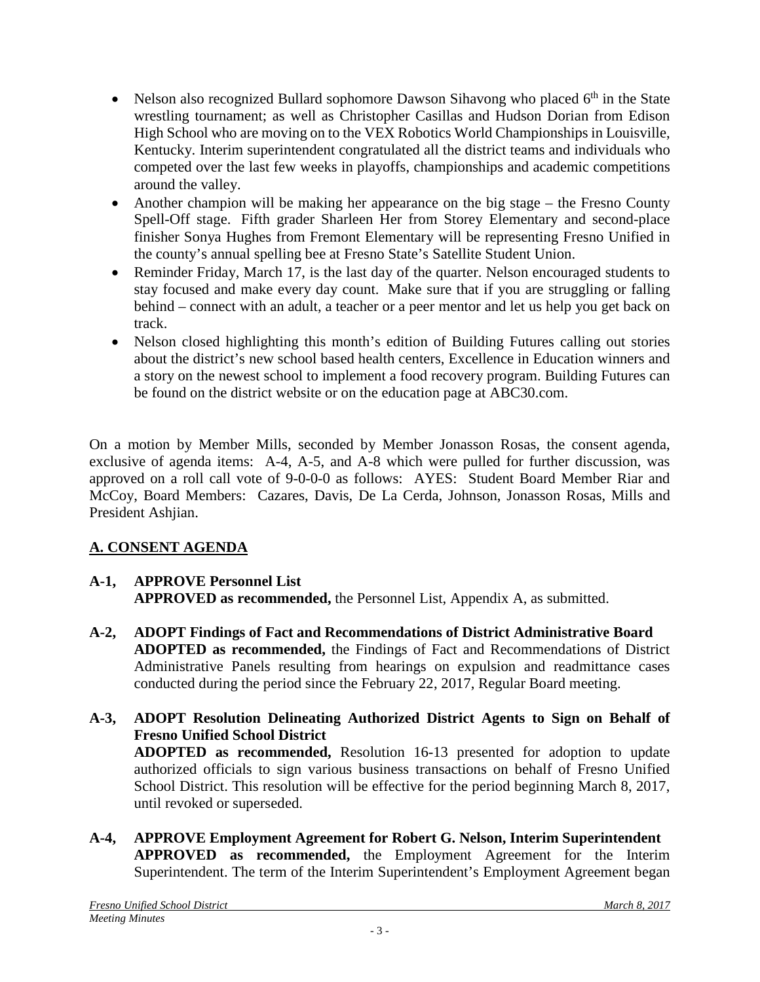- Nelson also recognized Bullard sophomore Dawson Sihavong who placed  $6<sup>th</sup>$  in the State wrestling tournament; as well as Christopher Casillas and Hudson Dorian from Edison High School who are moving on to the VEX Robotics World Championships in Louisville, Kentucky. Interim superintendent congratulated all the district teams and individuals who competed over the last few weeks in playoffs, championships and academic competitions around the valley.
- Another champion will be making her appearance on the big stage the Fresno County Spell-Off stage. Fifth grader Sharleen Her from Storey Elementary and second-place finisher Sonya Hughes from Fremont Elementary will be representing Fresno Unified in the county's annual spelling bee at Fresno State's Satellite Student Union.
- Reminder Friday, March 17, is the last day of the quarter. Nelson encouraged students to stay focused and make every day count. Make sure that if you are struggling or falling behind – connect with an adult, a teacher or a peer mentor and let us help you get back on track.
- Nelson closed highlighting this month's edition of [Building Futures](https://www.fresnounified.org/news/buildingfutures/20170301.pdf) calling out stories about the district's new school based health centers, Excellence in Education winners and a story on the newest school to implement a food recovery program. Building Futures can be found on the district website or on the education page at [ABC30.com.](http://abc30.com/education/march-2017---fresno-unified-school-district---building-futures/1774522/)

On a motion by Member Mills, seconded by Member Jonasson Rosas, the consent agenda, exclusive of agenda items: A-4, A-5, and A-8 which were pulled for further discussion, was approved on a roll call vote of 9-0-0-0 as follows: AYES: Student Board Member Riar and McCoy, Board Members: Cazares, Davis, De La Cerda, Johnson, Jonasson Rosas, Mills and President Ashjian.

# **A. CONSENT AGENDA**

# **A-1, APPROVE Personnel List**

**APPROVED as recommended,** the Personnel List, Appendix A, as submitted.

- **A-2, ADOPT Findings of Fact and Recommendations of District Administrative Board ADOPTED as recommended,** the Findings of Fact and Recommendations of District Administrative Panels resulting from hearings on expulsion and readmittance cases conducted during the period since the February 22, 2017, Regular Board meeting.
- **A-3, ADOPT Resolution Delineating Authorized District Agents to Sign on Behalf of Fresno Unified School District ADOPTED as recommended,** Resolution 16-13 presented for adoption to update authorized officials to sign various business transactions on behalf of Fresno Unified School District. This resolution will be effective for the period beginning March 8, 2017, until revoked or superseded.
- **A-4, APPROVE Employment Agreement for Robert G. Nelson, Interim Superintendent APPROVED as recommended,** the Employment Agreement for the Interim Superintendent. The term of the Interim Superintendent's Employment Agreement began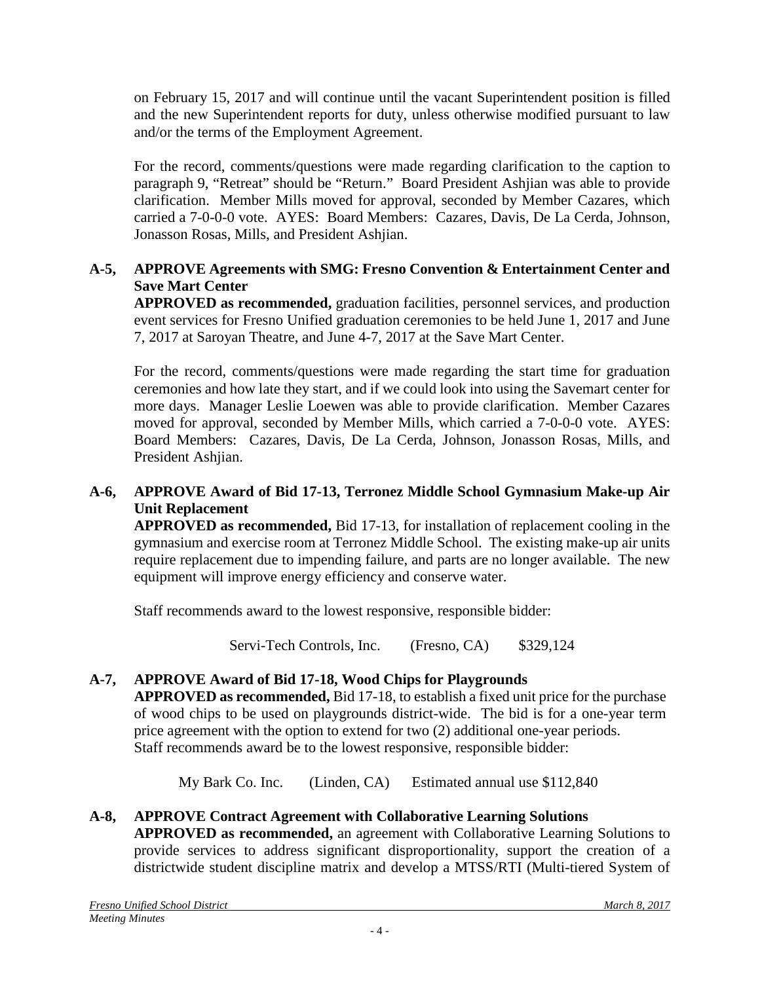on February 15, 2017 and will continue until the vacant Superintendent position is filled and the new Superintendent reports for duty, unless otherwise modified pursuant to law and/or the terms of the Employment Agreement.

For the record, comments/questions were made regarding clarification to the caption to paragraph 9, "Retreat" should be "Return." Board President Ashjian was able to provide clarification. Member Mills moved for approval, seconded by Member Cazares, which carried a 7-0-0-0 vote. AYES: Board Members: Cazares, Davis, De La Cerda, Johnson, Jonasson Rosas, Mills, and President Ashjian.

## **A-5, APPROVE Agreements with SMG: Fresno Convention & Entertainment Center and Save Mart Center**

**APPROVED as recommended,** graduation facilities, personnel services, and production event services for Fresno Unified graduation ceremonies to be held June 1, 2017 and June 7, 2017 at Saroyan Theatre, and June 4-7, 2017 at the Save Mart Center.

For the record, comments/questions were made regarding the start time for graduation ceremonies and how late they start, and if we could look into using the Savemart center for more days. Manager Leslie Loewen was able to provide clarification. Member Cazares moved for approval, seconded by Member Mills, which carried a 7-0-0-0 vote. AYES: Board Members: Cazares, Davis, De La Cerda, Johnson, Jonasson Rosas, Mills, and President Ashjian.

#### **A-6, APPROVE Award of Bid 17-13, Terronez Middle School Gymnasium Make-up Air Unit Replacement**

**APPROVED as recommended,** Bid 17-13, for installation of replacement cooling in the gymnasium and exercise room at Terronez Middle School. The existing make-up air units require replacement due to impending failure, and parts are no longer available. The new equipment will improve energy efficiency and conserve water.

Staff recommends award to the lowest responsive, responsible bidder:

Servi-Tech Controls, Inc. (Fresno, CA) \$329,124

# **A-7, APPROVE Award of Bid 17-18, Wood Chips for Playgrounds**

**APPROVED as recommended,** Bid 17-18, to establish a fixed unit price for the purchase of wood chips to be used on playgrounds district-wide. The bid is for a one-year term price agreement with the option to extend for two (2) additional one-year periods. Staff recommends award be to the lowest responsive, responsible bidder:

My Bark Co. Inc. (Linden, CA) Estimated annual use \$112,840

# **A-8, APPROVE Contract Agreement with Collaborative Learning Solutions**

**APPROVED as recommended,** an agreement with Collaborative Learning Solutions to provide services to address significant disproportionality, support the creation of a districtwide student discipline matrix and develop a MTSS/RTI (Multi-tiered System of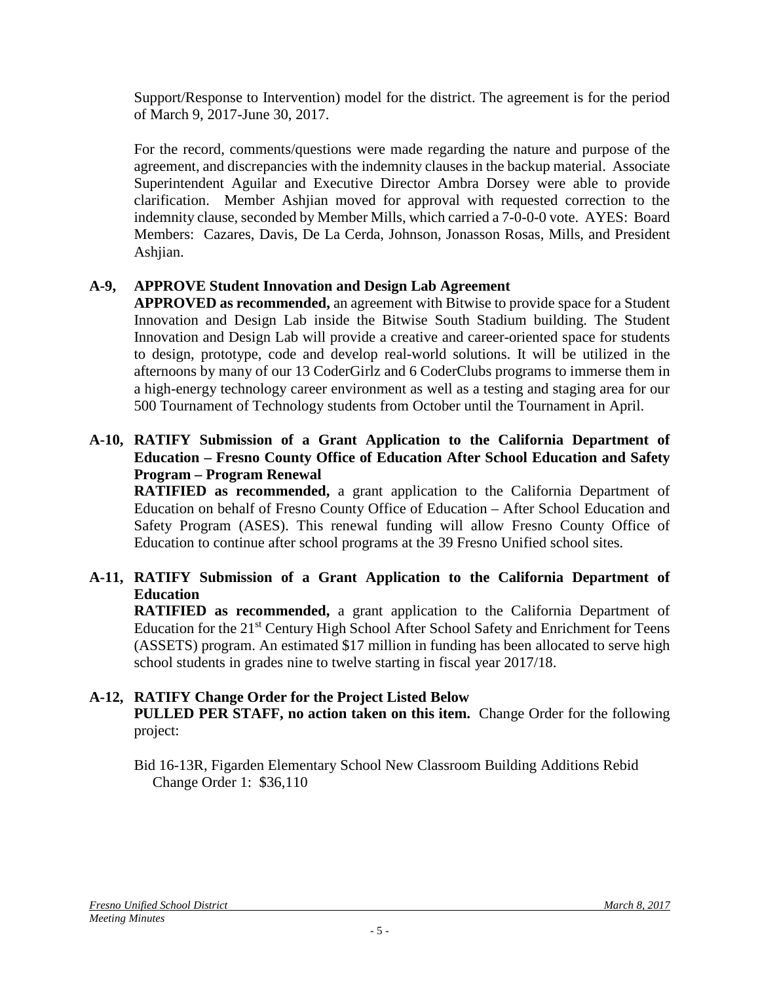Support/Response to Intervention) model for the district. The agreement is for the period of March 9, 2017-June 30, 2017.

For the record, comments/questions were made regarding the nature and purpose of the agreement, and discrepancies with the indemnity clauses in the backup material. Associate Superintendent Aguilar and Executive Director Ambra Dorsey were able to provide clarification. Member Ashjian moved for approval with requested correction to the indemnity clause, seconded by Member Mills, which carried a 7-0-0-0 vote. AYES: Board Members: Cazares, Davis, De La Cerda, Johnson, Jonasson Rosas, Mills, and President Ashjian.

# **A-9, APPROVE Student Innovation and Design Lab Agreement**

**APPROVED as recommended,** an agreement with Bitwise to provide space for a Student Innovation and Design Lab inside the Bitwise South Stadium building. The Student Innovation and Design Lab will provide a creative and career-oriented space for students to design, prototype, code and develop real-world solutions. It will be utilized in the afternoons by many of our 13 CoderGirlz and 6 CoderClubs programs to immerse them in a high-energy technology career environment as well as a testing and staging area for our 500 Tournament of Technology students from October until the Tournament in April.

#### **A-10, RATIFY Submission of a Grant Application to the California Department of Education – Fresno County Office of Education After School Education and Safety Program – Program Renewal**

**RATIFIED as recommended,** a grant application to the California Department of Education on behalf of Fresno County Office of Education – After School Education and Safety Program (ASES). This renewal funding will allow Fresno County Office of Education to continue after school programs at the 39 Fresno Unified school sites.

# **A-11, RATIFY Submission of a Grant Application to the California Department of Education**

**RATIFIED as recommended,** a grant application to the California Department of Education for the 21<sup>st</sup> Century High School After School Safety and Enrichment for Teens (ASSETS) program. An estimated \$17 million in funding has been allocated to serve high school students in grades nine to twelve starting in fiscal year 2017/18.

# **A-12, RATIFY Change Order for the Project Listed Below**

**PULLED PER STAFF, no action taken on this item.** Change Order for the following project:

Bid 16-13R, Figarden Elementary School New Classroom Building Additions Rebid Change Order 1: \$36,110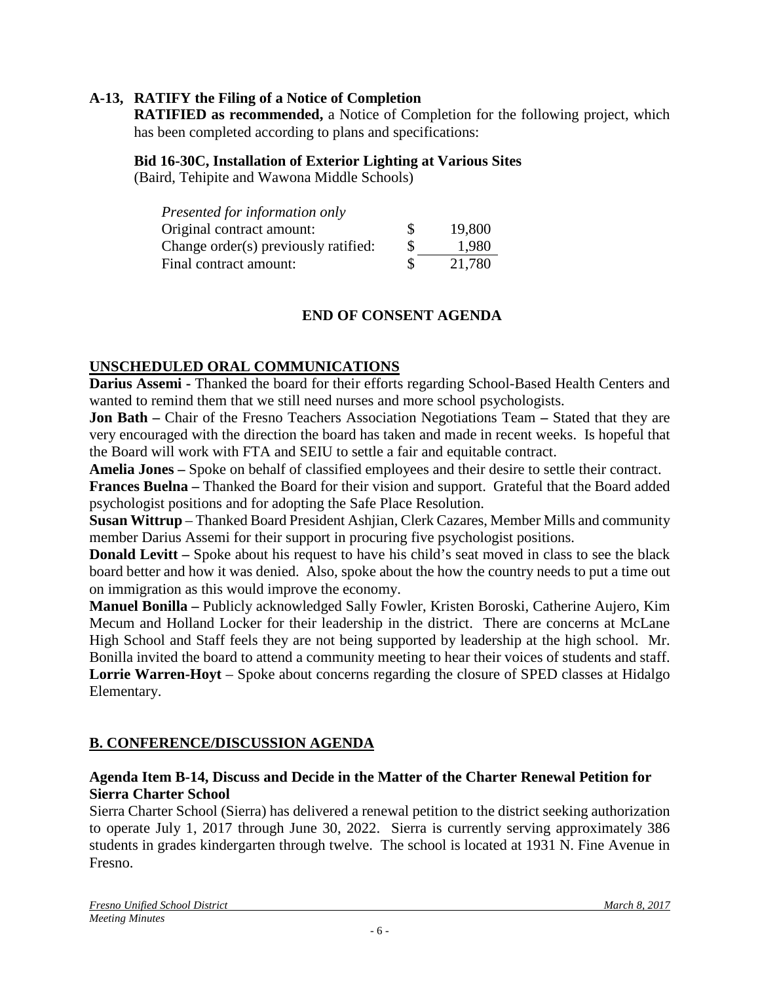#### **A-13, RATIFY the Filing of a Notice of Completion**

**RATIFIED as recommended,** a Notice of Completion for the following project, which has been completed according to plans and specifications:

#### **Bid 16-30C, Installation of Exterior Lighting at Various Sites**

(Baird, Tehipite and Wawona Middle Schools)

| Presented for information only       |     |        |
|--------------------------------------|-----|--------|
| Original contract amount:            | \$. | 19,800 |
| Change order(s) previously ratified: | S   | 1.980  |
| Final contract amount:               | \$. | 21,780 |

#### **END OF CONSENT AGENDA**

#### **UNSCHEDULED ORAL COMMUNICATIONS**

**Darius Assemi -** Thanked the board for their efforts regarding School-Based Health Centers and wanted to remind them that we still need nurses and more school psychologists.

**Jon Bath –** Chair of the Fresno Teachers Association Negotiations Team **–** Stated that they are very encouraged with the direction the board has taken and made in recent weeks.Is hopeful that the Board will work with FTA and SEIU to settle a fair and equitable contract.

**Amelia Jones –** Spoke on behalf of classified employees and their desire to settle their contract.

**Frances Buelna –** Thanked the Board for their vision and support. Grateful that the Board added psychologist positions and for adopting the Safe Place Resolution.

**Susan Wittrup** – Thanked Board President Ashjian, Clerk Cazares, Member Mills and community member Darius Assemi for their support in procuring five psychologist positions.

**Donald Levitt** – Spoke about his request to have his child's seat moved in class to see the black board better and how it was denied. Also, spoke about the how the country needs to put a time out on immigration as this would improve the economy.

**Manuel Bonilla –** Publicly acknowledged Sally Fowler, Kristen Boroski, Catherine Aujero, Kim Mecum and Holland Locker for their leadership in the district. There are concerns at McLane High School and Staff feels they are not being supported by leadership at the high school. Mr. Bonilla invited the board to attend a community meeting to hear their voices of students and staff. **Lorrie Warren-Hoyt** – Spoke about concerns regarding the closure of SPED classes at Hidalgo Elementary.

## **B. CONFERENCE/DISCUSSION AGENDA**

#### **Agenda Item B-14, Discuss and Decide in the Matter of the Charter Renewal Petition for Sierra Charter School**

Sierra Charter School (Sierra) has delivered a renewal petition to the district seeking authorization to operate July 1, 2017 through June 30, 2022. Sierra is currently serving approximately 386 students in grades kindergarten through twelve. The school is located at 1931 N. Fine Avenue in Fresno.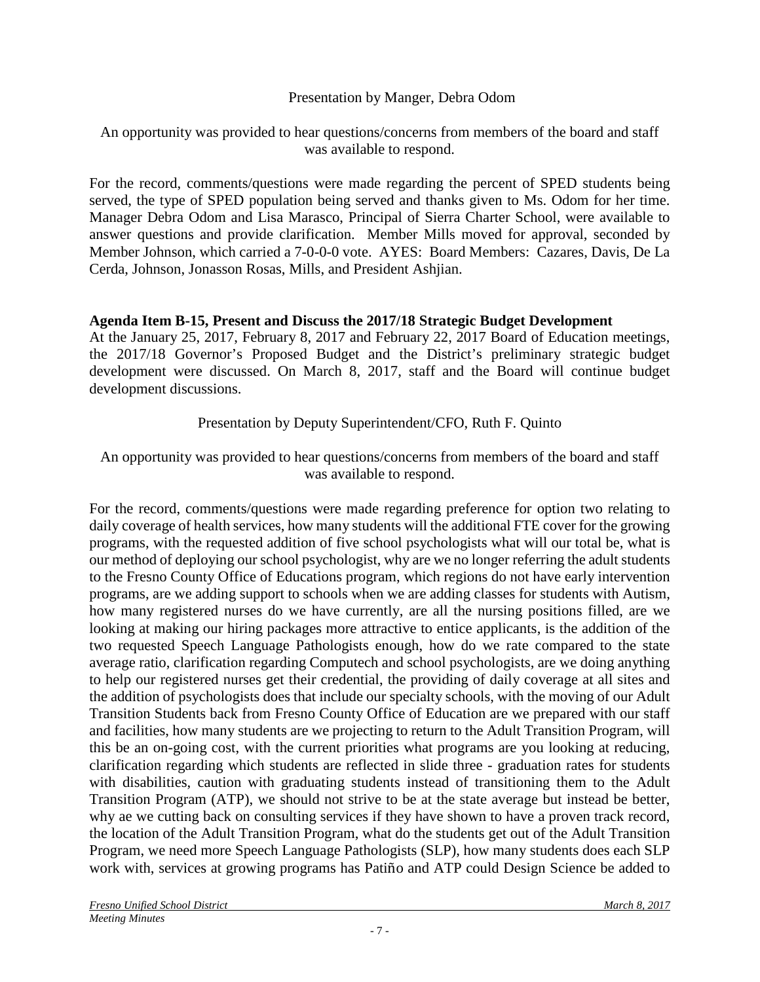Presentation by Manger, Debra Odom

An opportunity was provided to hear questions/concerns from members of the board and staff was available to respond.

For the record, comments/questions were made regarding the percent of SPED students being served, the type of SPED population being served and thanks given to Ms. Odom for her time. Manager Debra Odom and Lisa Marasco, Principal of Sierra Charter School, were available to answer questions and provide clarification. Member Mills moved for approval, seconded by Member Johnson, which carried a 7-0-0-0 vote. AYES: Board Members: Cazares, Davis, De La Cerda, Johnson, Jonasson Rosas, Mills, and President Ashjian.

## **Agenda Item B-15, Present and Discuss the 2017/18 Strategic Budget Development**

At the January 25, 2017, February 8, 2017 and February 22, 2017 Board of Education meetings, the 2017/18 Governor's Proposed Budget and the District's preliminary strategic budget development were discussed. On March 8, 2017, staff and the Board will continue budget development discussions.

Presentation by Deputy Superintendent/CFO, Ruth F. Quinto

#### An opportunity was provided to hear questions/concerns from members of the board and staff was available to respond.

For the record, comments/questions were made regarding preference for option two relating to daily coverage of health services, how many students will the additional FTE cover for the growing programs, with the requested addition of five school psychologists what will our total be, what is our method of deploying our school psychologist, why are we no longer referring the adult students to the Fresno County Office of Educations program, which regions do not have early intervention programs, are we adding support to schools when we are adding classes for students with Autism, how many registered nurses do we have currently, are all the nursing positions filled, are we looking at making our hiring packages more attractive to entice applicants, is the addition of the two requested Speech Language Pathologists enough, how do we rate compared to the state average ratio, clarification regarding Computech and school psychologists, are we doing anything to help our registered nurses get their credential, the providing of daily coverage at all sites and the addition of psychologists does that include our specialty schools, with the moving of our Adult Transition Students back from Fresno County Office of Education are we prepared with our staff and facilities, how many students are we projecting to return to the Adult Transition Program, will this be an on-going cost, with the current priorities what programs are you looking at reducing, clarification regarding which students are reflected in slide three - graduation rates for students with disabilities, caution with graduating students instead of transitioning them to the Adult Transition Program (ATP), we should not strive to be at the state average but instead be better, why ae we cutting back on consulting services if they have shown to have a proven track record, the location of the Adult Transition Program, what do the students get out of the Adult Transition Program, we need more Speech Language Pathologists (SLP), how many students does each SLP work with, services at growing programs has Patiño and ATP could Design Science be added to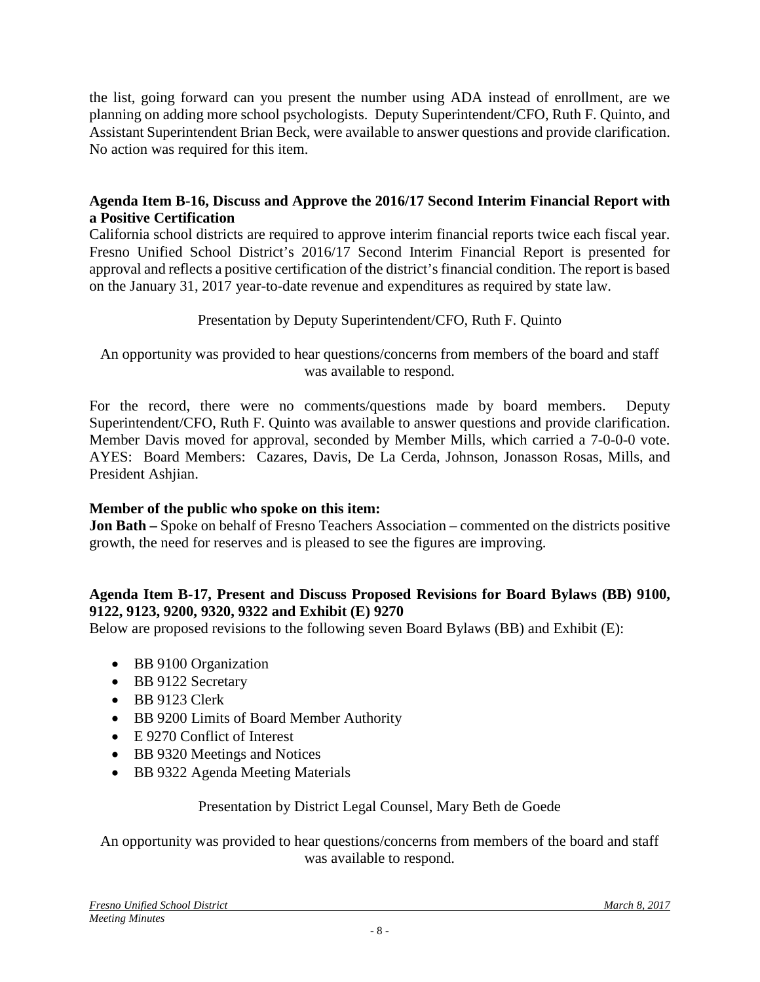the list, going forward can you present the number using ADA instead of enrollment, are we planning on adding more school psychologists. Deputy Superintendent/CFO, Ruth F. Quinto, and Assistant Superintendent Brian Beck, were available to answer questions and provide clarification. No action was required for this item.

#### **Agenda Item B-16, Discuss and Approve the 2016/17 Second Interim Financial Report with a Positive Certification**

California school districts are required to approve interim financial reports twice each fiscal year. Fresno Unified School District's 2016/17 Second Interim Financial Report is presented for approval and reflects a positive certification of the district's financial condition. The report is based on the January 31, 2017 year-to-date revenue and expenditures as required by state law.

## Presentation by Deputy Superintendent/CFO, Ruth F. Quinto

An opportunity was provided to hear questions/concerns from members of the board and staff was available to respond.

For the record, there were no comments/questions made by board members. Deputy Superintendent/CFO, Ruth F. Quinto was available to answer questions and provide clarification. Member Davis moved for approval, seconded by Member Mills, which carried a 7-0-0-0 vote. AYES: Board Members: Cazares, Davis, De La Cerda, Johnson, Jonasson Rosas, Mills, and President Ashjian.

## **Member of the public who spoke on this item:**

**Jon Bath –** Spoke on behalf of Fresno Teachers Association – commented on the districts positive growth, the need for reserves and is pleased to see the figures are improving.

#### **Agenda Item B-17, Present and Discuss Proposed Revisions for Board Bylaws (BB) 9100, 9122, 9123, 9200, 9320, 9322 and Exhibit (E) 9270**

Below are proposed revisions to the following seven Board Bylaws (BB) and Exhibit (E):

- BB 9100 Organization
- BB 9122 Secretary
- BB 9123 Clerk
- BB 9200 Limits of Board Member Authority
- E 9270 Conflict of Interest
- BB 9320 Meetings and Notices
- BB 9322 Agenda Meeting Materials

#### Presentation by District Legal Counsel, Mary Beth de Goede

An opportunity was provided to hear questions/concerns from members of the board and staff was available to respond.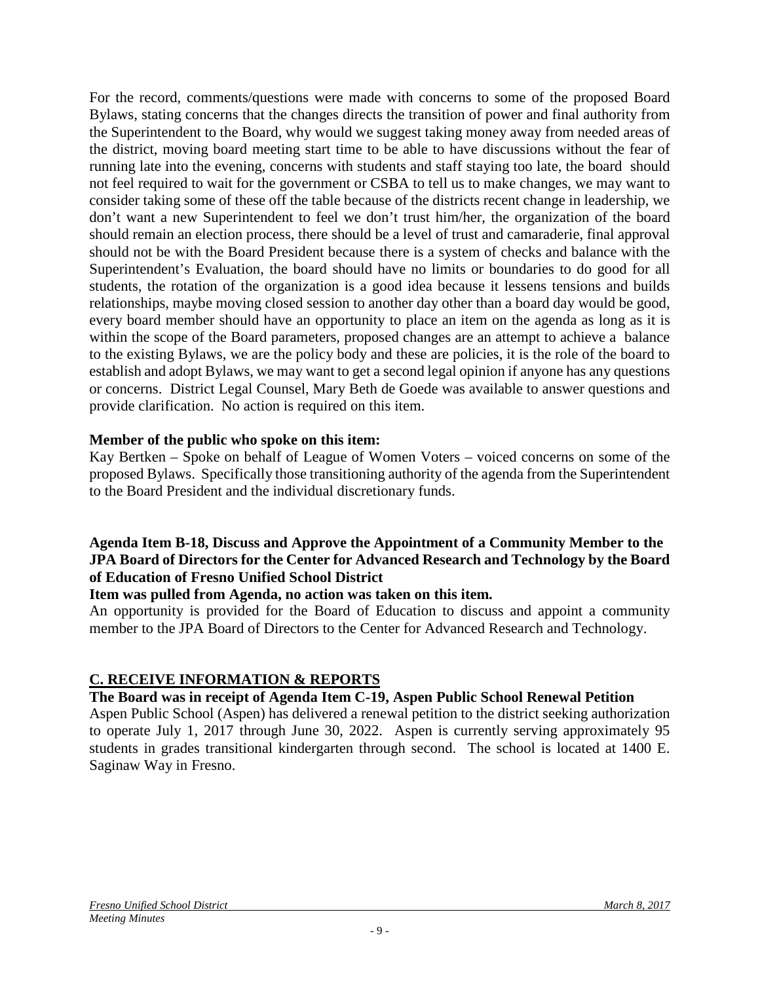For the record, comments/questions were made with concerns to some of the proposed Board Bylaws, stating concerns that the changes directs the transition of power and final authority from the Superintendent to the Board, why would we suggest taking money away from needed areas of the district, moving board meeting start time to be able to have discussions without the fear of running late into the evening, concerns with students and staff staying too late, the board should not feel required to wait for the government or CSBA to tell us to make changes, we may want to consider taking some of these off the table because of the districts recent change in leadership, we don't want a new Superintendent to feel we don't trust him/her, the organization of the board should remain an election process, there should be a level of trust and camaraderie, final approval should not be with the Board President because there is a system of checks and balance with the Superintendent's Evaluation, the board should have no limits or boundaries to do good for all students, the rotation of the organization is a good idea because it lessens tensions and builds relationships, maybe moving closed session to another day other than a board day would be good, every board member should have an opportunity to place an item on the agenda as long as it is within the scope of the Board parameters, proposed changes are an attempt to achieve a balance to the existing Bylaws, we are the policy body and these are policies, it is the role of the board to establish and adopt Bylaws, we may want to get a second legal opinion if anyone has any questions or concerns. District Legal Counsel, Mary Beth de Goede was available to answer questions and provide clarification. No action is required on this item.

#### **Member of the public who spoke on this item:**

Kay Bertken – Spoke on behalf of League of Women Voters – voiced concerns on some of the proposed Bylaws. Specifically those transitioning authority of the agenda from the Superintendent to the Board President and the individual discretionary funds.

#### **Agenda Item B-18, Discuss and Approve the Appointment of a Community Member to the JPA Board of Directors for the Center for Advanced Research and Technology by the Board of Education of Fresno Unified School District**

#### **Item was pulled from Agenda, no action was taken on this item.**

An opportunity is provided for the Board of Education to discuss and appoint a community member to the JPA Board of Directors to the Center for Advanced Research and Technology.

## **C. RECEIVE INFORMATION & REPORTS**

#### **The Board was in receipt of Agenda Item C-19, Aspen Public School Renewal Petition**

Aspen Public School (Aspen) has delivered a renewal petition to the district seeking authorization to operate July 1, 2017 through June 30, 2022. Aspen is currently serving approximately 95 students in grades transitional kindergarten through second. The school is located at 1400 E. Saginaw Way in Fresno.